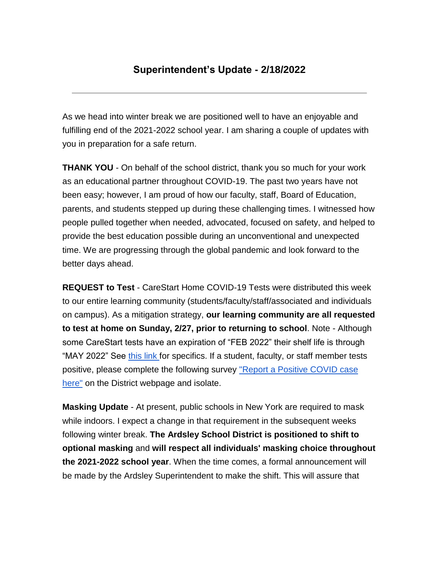# **Superintendent's Update - 2/18/2022**

As we head into winter break we are positioned well to have an enjoyable and fulfilling end of the 2021-2022 school year. I am sharing a couple of updates with you in preparation for a safe return.

**THANK YOU** - On behalf of the school district, thank you so much for your work as an educational partner throughout COVID-19. The past two years have not been easy; however, I am proud of how our faculty, staff, Board of Education, parents, and students stepped up during these challenging times. I witnessed how people pulled together when needed, advocated, focused on safety, and helped to provide the best education possible during an unconventional and unexpected time. We are progressing through the global pandemic and look forward to the better days ahead.

**REQUEST to Test** - CareStart Home COVID-19 Tests were distributed this week to our entire learning community (students/faculty/staff/associated and individuals on campus). As a mitigation strategy, **our learning community are all requested to test at home on Sunday, 2/27, prior to returning to school**. Note - Although some CareStart tests have an expiration of "FEB 2022" their shelf life is through "MAY 2022" See [this link](https://drive.google.com/file/d/1QSVfiI46zz6Cv_St99_60MibvUEGufyv/view?usp=sharing) for specifics. If a student, faculty, or staff member tests positive, please complete the following survey ["Report a Positive COVID case](https://www.surveymonkey.com/r/62K3RZY)  [here"](https://www.surveymonkey.com/r/62K3RZY) on the District webpage and isolate.

**Masking Update** - At present, public schools in New York are required to mask while indoors. I expect a change in that requirement in the subsequent weeks following winter break. **The Ardsley School District is positioned to shift to optional masking** and **will respect all individuals' masking choice throughout the 2021-2022 school year**. When the time comes, a formal announcement will be made by the Ardsley Superintendent to make the shift. This will assure that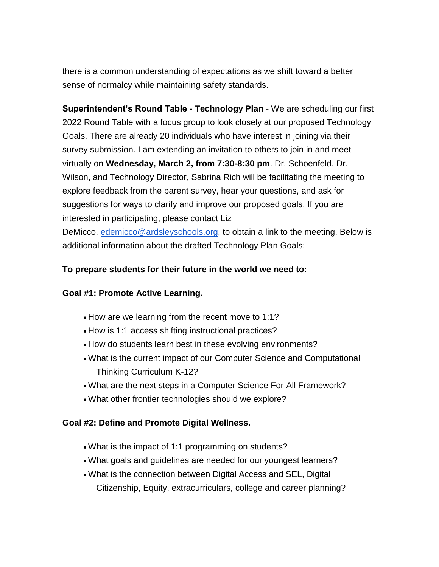there is a common understanding of expectations as we shift toward a better sense of normalcy while maintaining safety standards.

**Superintendent's Round Table - Technology Plan** - We are scheduling our first 2022 Round Table with a focus group to look closely at our proposed Technology Goals. There are already 20 individuals who have interest in joining via their survey submission. I am extending an invitation to others to join in and meet virtually on **Wednesday, March 2, from 7:30-8:30 pm**. Dr. Schoenfeld, Dr. Wilson, and Technology Director, Sabrina Rich will be facilitating the meeting to explore feedback from the parent survey, hear your questions, and ask for suggestions for ways to clarify and improve our proposed goals. If you are interested in participating, please contact Liz

DeMicco, [edemicco@ardsleyschools.org,](mailto:edemicco@ardsleyschools.org) to obtain a link to the meeting. Below is additional information about the drafted Technology Plan Goals:

### **To prepare students for their future in the world we need to:**

#### **Goal #1: Promote Active Learning.**

- How are we learning from the recent move to 1:1?
- How is 1:1 access shifting instructional practices?
- How do students learn best in these evolving environments?
- What is the current impact of our Computer Science and Computational Thinking Curriculum K-12?
- What are the next steps in a Computer Science For All Framework?
- What other frontier technologies should we explore?

#### **Goal #2: Define and Promote Digital Wellness.**

- What is the impact of 1:1 programming on students?
- What goals and guidelines are needed for our youngest learners?
- What is the connection between Digital Access and SEL, Digital Citizenship, Equity, extracurriculars, college and career planning?